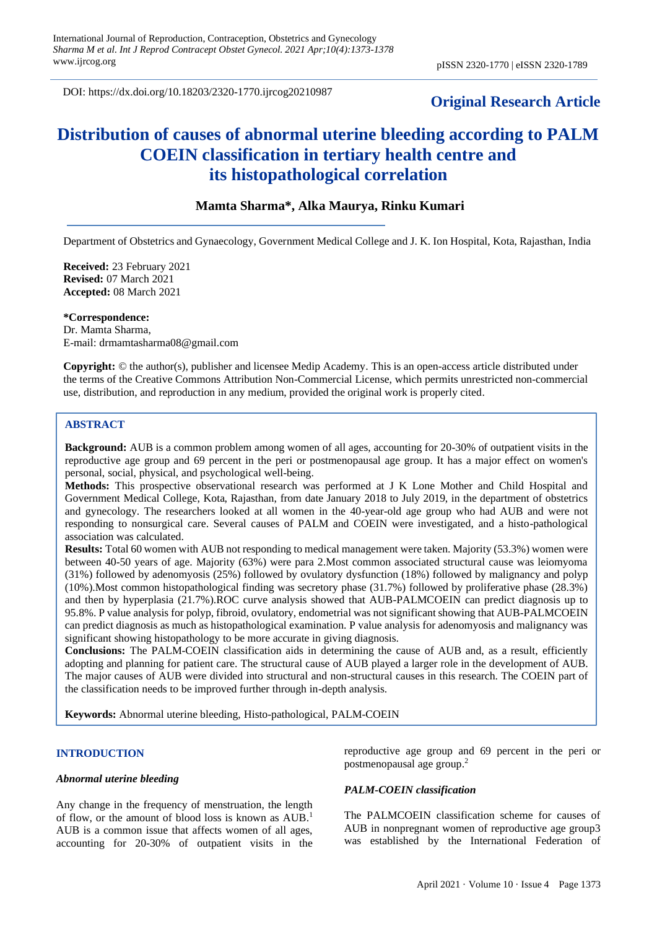DOI: https://dx.doi.org/10.18203/2320-1770.ijrcog20210987

## **Original Research Article**

# **Distribution of causes of abnormal uterine bleeding according to PALM COEIN classification in tertiary health centre and its histopathological correlation**

## **Mamta Sharma\*, Alka Maurya, Rinku Kumari**

Department of Obstetrics and Gynaecology, Government Medical College and J. K. Ion Hospital, Kota, Rajasthan, India

**Received:** 23 February 2021 **Revised:** 07 March 2021 **Accepted:** 08 March 2021

**\*Correspondence:** Dr. Mamta Sharma, E-mail: drmamtasharma08@gmail.com

**Copyright:** © the author(s), publisher and licensee Medip Academy. This is an open-access article distributed under the terms of the Creative Commons Attribution Non-Commercial License, which permits unrestricted non-commercial use, distribution, and reproduction in any medium, provided the original work is properly cited.

#### **ABSTRACT**

**Background:** AUB is a common problem among women of all ages, accounting for 20-30% of outpatient visits in the reproductive age group and 69 percent in the peri or postmenopausal age group. It has a major effect on women's personal, social, physical, and psychological well-being.

**Methods:** This prospective observational research was performed at J K Lone Mother and Child Hospital and Government Medical College, Kota, Rajasthan, from date January 2018 to July 2019, in the department of obstetrics and gynecology. The researchers looked at all women in the 40-year-old age group who had AUB and were not responding to nonsurgical care. Several causes of PALM and COEIN were investigated, and a histo-pathological association was calculated.

**Results:** Total 60 women with AUB not responding to medical management were taken. Majority (53.3%) women were between 40-50 years of age. Majority (63%) were para 2.Most common associated structural cause was leiomyoma (31%) followed by adenomyosis (25%) followed by ovulatory dysfunction (18%) followed by malignancy and polyp (10%).Most common histopathological finding was secretory phase (31.7%) followed by proliferative phase (28.3%) and then by hyperplasia (21.7%).ROC curve analysis showed that AUB-PALMCOEIN can predict diagnosis up to 95.8%. P value analysis for polyp, fibroid, ovulatory, endometrial was not significant showing that AUB-PALMCOEIN can predict diagnosis as much as histopathological examination. P value analysis for adenomyosis and malignancy was significant showing histopathology to be more accurate in giving diagnosis.

**Conclusions:** The PALM-COEIN classification aids in determining the cause of AUB and, as a result, efficiently adopting and planning for patient care. The structural cause of AUB played a larger role in the development of AUB. The major causes of AUB were divided into structural and non-structural causes in this research. The COEIN part of the classification needs to be improved further through in-depth analysis.

**Keywords:** Abnormal uterine bleeding, Histo-pathological, PALM-COEIN

## **INTRODUCTION**

#### *Abnormal uterine bleeding*

Any change in the frequency of menstruation, the length of flow, or the amount of blood loss is known as AUB. 1 AUB is a common issue that affects women of all ages, accounting for 20-30% of outpatient visits in the reproductive age group and 69 percent in the peri or postmenopausal age group. 2

#### *PALM-COEIN classification*

The PALMCOEIN classification scheme for causes of AUB in nonpregnant women of reproductive age group3 was established by the International Federation of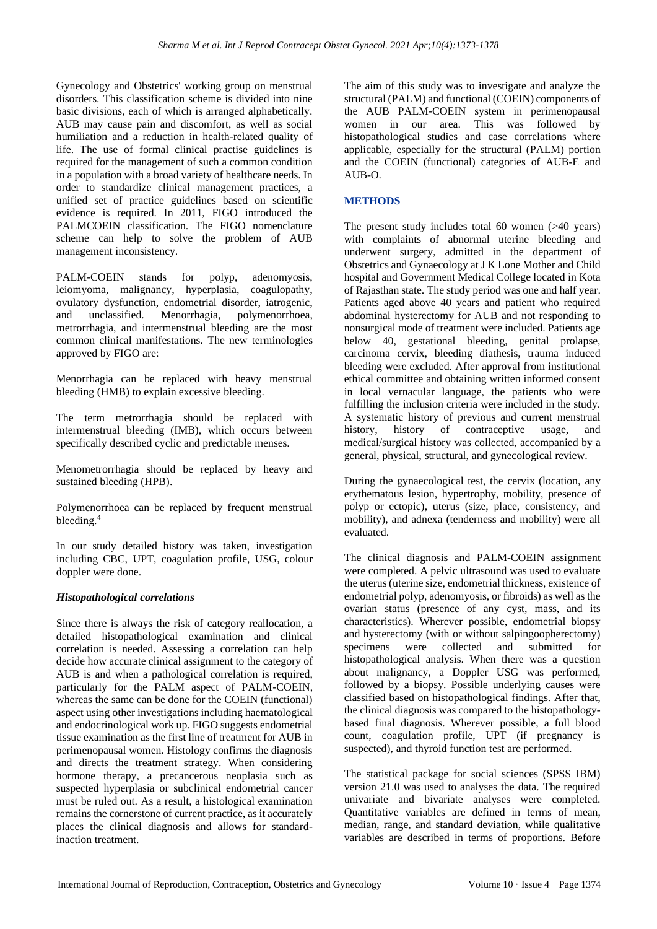Gynecology and Obstetrics' working group on menstrual disorders. This classification scheme is divided into nine basic divisions, each of which is arranged alphabetically. AUB may cause pain and discomfort, as well as social humiliation and a reduction in health-related quality of life. The use of formal clinical practise guidelines is required for the management of such a common condition in a population with a broad variety of healthcare needs. In order to standardize clinical management practices, a unified set of practice guidelines based on scientific evidence is required. In 2011, FIGO introduced the PALMCOEIN classification. The FIGO nomenclature scheme can help to solve the problem of AUB management inconsistency.

PALM-COEIN stands for polyp, adenomyosis, leiomyoma, malignancy, hyperplasia, coagulopathy, ovulatory dysfunction, endometrial disorder, iatrogenic, and unclassified. Menorrhagia, polymenorrhoea, metrorrhagia, and intermenstrual bleeding are the most common clinical manifestations. The new terminologies approved by FIGO are:

Menorrhagia can be replaced with heavy menstrual bleeding (HMB) to explain excessive bleeding.

The term metrorrhagia should be replaced with intermenstrual bleeding (IMB), which occurs between specifically described cyclic and predictable menses.

Menometrorrhagia should be replaced by heavy and sustained bleeding (HPB).

Polymenorrhoea can be replaced by frequent menstrual bleeding. 4

In our study detailed history was taken, investigation including CBC, UPT, coagulation profile, USG, colour doppler were done.

#### *Histopathological correlations*

Since there is always the risk of category reallocation, a detailed histopathological examination and clinical correlation is needed. Assessing a correlation can help decide how accurate clinical assignment to the category of AUB is and when a pathological correlation is required, particularly for the PALM aspect of PALM-COEIN, whereas the same can be done for the COEIN (functional) aspect using other investigations including haematological and endocrinological work up. FIGO suggests endometrial tissue examination as the first line of treatment for AUB in perimenopausal women. Histology confirms the diagnosis and directs the treatment strategy. When considering hormone therapy, a precancerous neoplasia such as suspected hyperplasia or subclinical endometrial cancer must be ruled out. As a result, a histological examination remains the cornerstone of current practice, as it accurately places the clinical diagnosis and allows for standardinaction treatment.

The aim of this study was to investigate and analyze the structural (PALM) and functional (COEIN) components of the AUB PALM-COEIN system in perimenopausal women in our area. This was followed by histopathological studies and case correlations where applicable, especially for the structural (PALM) portion and the COEIN (functional) categories of AUB-E and  $ATIR_0$ 

## **METHODS**

The present study includes total 60 women (>40 years) with complaints of abnormal uterine bleeding and underwent surgery, admitted in the department of Obstetrics and Gynaecology at J K Lone Mother and Child hospital and Government Medical College located in Kota of Rajasthan state. The study period was one and half year. Patients aged above 40 years and patient who required abdominal hysterectomy for AUB and not responding to nonsurgical mode of treatment were included. Patients age below 40, gestational bleeding, genital prolapse, carcinoma cervix, bleeding diathesis, trauma induced bleeding were excluded. After approval from institutional ethical committee and obtaining written informed consent in local vernacular language, the patients who were fulfilling the inclusion criteria were included in the study. A systematic history of previous and current menstrual history, history of contraceptive usage, and medical/surgical history was collected, accompanied by a general, physical, structural, and gynecological review.

During the gynaecological test, the cervix (location, any erythematous lesion, hypertrophy, mobility, presence of polyp or ectopic), uterus (size, place, consistency, and mobility), and adnexa (tenderness and mobility) were all evaluated.

The clinical diagnosis and PALM-COEIN assignment were completed. A pelvic ultrasound was used to evaluate the uterus (uterine size, endometrial thickness, existence of endometrial polyp, adenomyosis, or fibroids) as well as the ovarian status (presence of any cyst, mass, and its characteristics). Wherever possible, endometrial biopsy and hysterectomy (with or without salpingoopherectomy) specimens were collected and submitted for histopathological analysis. When there was a question about malignancy, a Doppler USG was performed, followed by a biopsy. Possible underlying causes were classified based on histopathological findings. After that, the clinical diagnosis was compared to the histopathologybased final diagnosis. Wherever possible, a full blood count, coagulation profile, UPT (if pregnancy is suspected), and thyroid function test are performed.

The statistical package for social sciences (SPSS IBM) version 21.0 was used to analyses the data. The required univariate and bivariate analyses were completed. Quantitative variables are defined in terms of mean, median, range, and standard deviation, while qualitative variables are described in terms of proportions. Before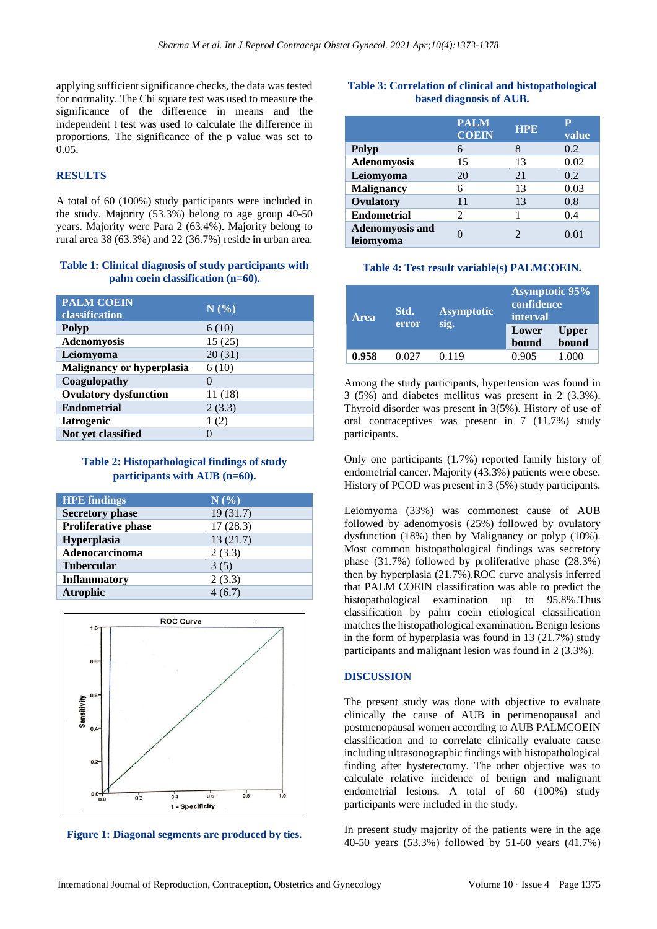applying sufficient significance checks, the data was tested for normality. The Chi square test was used to measure the significance of the difference in means and the independent t test was used to calculate the difference in proportions. The significance of the p value was set to 0.05.

## **RESULTS**

A total of 60 (100%) study participants were included in the study. Majority (53.3%) belong to age group 40-50 years. Majority were Para 2 (63.4%). Majority belong to rural area 38 (63.3%) and 22 (36.7%) reside in urban area.

#### **Table 1: Clinical diagnosis of study participants with palm coein classification (n=60).**

| <b>PALM COEIN</b><br>classification | N(%)         |
|-------------------------------------|--------------|
| <b>Polyp</b>                        | 6(10)        |
| <b>Adenomyosis</b>                  | 15(25)       |
| Leiomyoma                           | 20(31)       |
| <b>Malignancy or hyperplasia</b>    | 6(10)        |
| Coagulopathy                        | $\mathbf{0}$ |
| <b>Ovulatory dysfunction</b>        | 11(18)       |
| <b>Endometrial</b>                  | 2(3.3)       |
| <b>Iatrogenic</b>                   | 1(2)         |
| Not yet classified                  | 0            |

#### **Table 2: Histopathological findings of study participants with AUB (n=60).**

| <b>HPE</b> findings        | N(%)     |
|----------------------------|----------|
| <b>Secretory phase</b>     | 19(31.7) |
| <b>Proliferative phase</b> | 17(28.3) |
| Hyperplasia                | 13(21.7) |
| Adenocarcinoma             | 2(3.3)   |
| <b>Tubercular</b>          | 3(5)     |
| <b>Inflammatory</b>        | 2(3.3)   |
| <b>Atrophic</b>            | 4(6.7)   |
|                            |          |



**Figure 1: Diagonal segments are produced by ties.**

#### **Table 3: Correlation of clinical and histopathological based diagnosis of AUB.**

|                                     | <b>PALM</b><br><b>COEIN</b> | <b>HPE</b> | value |
|-------------------------------------|-----------------------------|------------|-------|
| <b>Polyp</b>                        | 6                           | 8          | 0.2   |
| <b>Adenomyosis</b>                  | 15                          | 13         | 0.02  |
| Leiomyoma                           | 20                          | 21         | 0.2   |
| <b>Malignancy</b>                   | 6                           | 13         | 0.03  |
| Ovulatory                           | 11                          | 13         | 0.8   |
| <b>Endometrial</b>                  | 2                           |            | 0.4   |
| <b>Adenomyosis and</b><br>leiomyoma |                             |            | 0.01  |

#### **Table 4: Test result variable(s) PALMCOEIN.**

| <b>Area</b> | Std.  | <b>Asymptotic</b> | Asymptotic 95%<br>confidence<br>interval |       |
|-------------|-------|-------------------|------------------------------------------|-------|
| error       | sig.  | Lower<br>bound    | <b>Upper</b><br>bound                    |       |
| 0.958       | Ი Იን7 | 0.119             | 0.905                                    | U.OOO |

Among the study participants, hypertension was found in 3 (5%) and diabetes mellitus was present in 2 (3.3%). Thyroid disorder was present in 3(5%). History of use of oral contraceptives was present in 7 (11.7%) study participants.

Only one participants (1.7%) reported family history of endometrial cancer. Majority (43.3%) patients were obese. History of PCOD was present in 3 (5%) study participants.

Leiomyoma (33%) was commonest cause of AUB followed by adenomyosis (25%) followed by ovulatory dysfunction (18%) then by Malignancy or polyp (10%). Most common histopathological findings was secretory phase (31.7%) followed by proliferative phase (28.3%) then by hyperplasia (21.7%).ROC curve analysis inferred that PALM COEIN classification was able to predict the histopathological examination up to 95.8%.Thus classification by palm coein etiological classification matches the histopathological examination. Benign lesions in the form of hyperplasia was found in 13 (21.7%) study participants and malignant lesion was found in 2 (3.3%).

#### **DISCUSSION**

The present study was done with objective to evaluate clinically the cause of AUB in perimenopausal and postmenopausal women according to AUB PALMCOEIN classification and to correlate clinically evaluate cause including ultrasonographic findings with histopathological finding after hysterectomy. The other objective was to calculate relative incidence of benign and malignant endometrial lesions. A total of 60 (100%) study participants were included in the study.

In present study majority of the patients were in the age 40-50 years (53.3%) followed by 51-60 years (41.7%)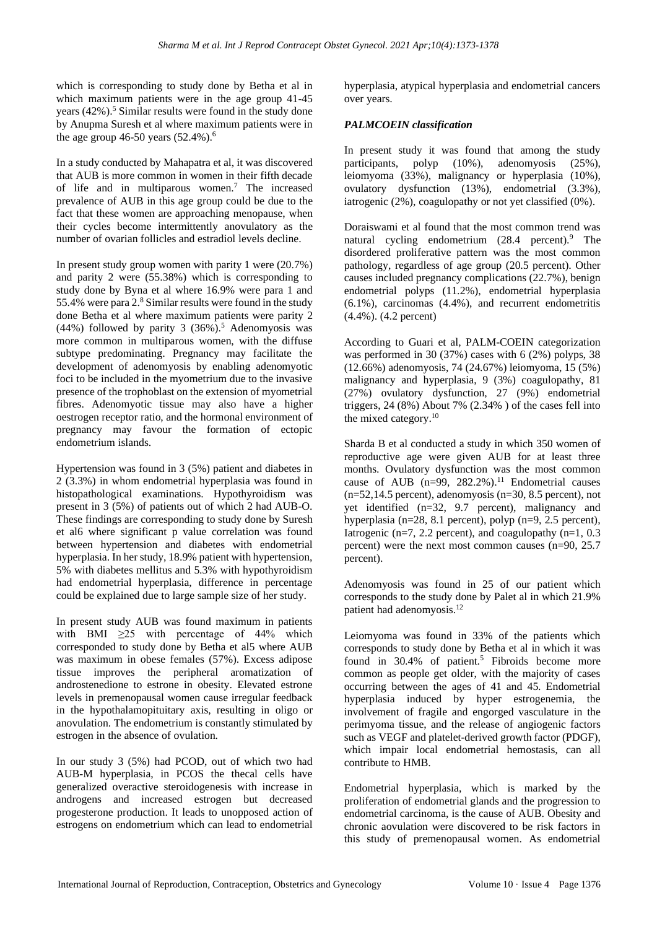which is corresponding to study done by Betha et al in which maximum patients were in the age group 41-45 years  $(42\%)$ <sup>5</sup>. Similar results were found in the study done by Anupma Suresh et al where maximum patients were in the age group 46-50 years  $(52.4\%)$ .<sup>6</sup>

In a study conducted by Mahapatra et al, it was discovered that AUB is more common in women in their fifth decade of life and in multiparous women.<sup>7</sup> The increased prevalence of AUB in this age group could be due to the fact that these women are approaching menopause, when their cycles become intermittently anovulatory as the number of ovarian follicles and estradiol levels decline.

In present study group women with parity 1 were (20.7%) and parity 2 were (55.38%) which is corresponding to study done by Byna et al where 16.9% were para 1 and 55.4% were para 2.<sup>8</sup> Similar results were found in the study done Betha et al where maximum patients were parity 2 (44%) followed by parity 3  $(36\%)$ .<sup>5</sup> Adenomyosis was more common in multiparous women, with the diffuse subtype predominating. Pregnancy may facilitate the development of adenomyosis by enabling adenomyotic foci to be included in the myometrium due to the invasive presence of the trophoblast on the extension of myometrial fibres. Adenomyotic tissue may also have a higher oestrogen receptor ratio, and the hormonal environment of pregnancy may favour the formation of ectopic endometrium islands.

Hypertension was found in 3 (5%) patient and diabetes in 2 (3.3%) in whom endometrial hyperplasia was found in histopathological examinations. Hypothyroidism was present in 3 (5%) of patients out of which 2 had AUB-O. These findings are corresponding to study done by Suresh et al6 where significant p value correlation was found between hypertension and diabetes with endometrial hyperplasia. In her study, 18.9% patient with hypertension, 5% with diabetes mellitus and 5.3% with hypothyroidism had endometrial hyperplasia, difference in percentage could be explained due to large sample size of her study.

In present study AUB was found maximum in patients with BMI  $\geq 25$  with percentage of 44% which corresponded to study done by Betha et al5 where AUB was maximum in obese females (57%). Excess adipose tissue improves the peripheral aromatization of androstenedione to estrone in obesity. Elevated estrone levels in premenopausal women cause irregular feedback in the hypothalamopituitary axis, resulting in oligo or anovulation. The endometrium is constantly stimulated by estrogen in the absence of ovulation.

In our study 3 (5%) had PCOD, out of which two had AUB-M hyperplasia, in PCOS the thecal cells have generalized overactive steroidogenesis with increase in androgens and increased estrogen but decreased progesterone production. It leads to unopposed action of estrogens on endometrium which can lead to endometrial hyperplasia, atypical hyperplasia and endometrial cancers over years.

## *PALMCOEIN classification*

In present study it was found that among the study participants, polyp (10%), adenomyosis (25%), leiomyoma (33%), malignancy or hyperplasia (10%), ovulatory dysfunction (13%), endometrial (3.3%), iatrogenic (2%), coagulopathy or not yet classified (0%).

Doraiswami et al found that the most common trend was natural cycling endometrium (28.4 percent).<sup>9</sup> The disordered proliferative pattern was the most common pathology, regardless of age group (20.5 percent). Other causes included pregnancy complications (22.7%), benign endometrial polyps (11.2%), endometrial hyperplasia (6.1%), carcinomas (4.4%), and recurrent endometritis (4.4%). (4.2 percent)

According to Guari et al, PALM-COEIN categorization was performed in 30 (37%) cases with 6 (2%) polyps, 38 (12.66%) adenomyosis, 74 (24.67%) leiomyoma, 15 (5%) malignancy and hyperplasia, 9 (3%) coagulopathy, 81 (27%) ovulatory dysfunction, 27 (9%) endometrial triggers,  $24 (8\%)$  About 7% (2.34%) of the cases fell into the mixed category.<sup>10</sup>

Sharda B et al conducted a study in which 350 women of reproductive age were given AUB for at least three months. Ovulatory dysfunction was the most common cause of AUB  $(n=99, 282.2\%)$ <sup>11</sup> Endometrial causes  $(n=52,14.5$  percent), adenomyosis  $(n=30, 8.5$  percent), not yet identified (n=32, 9.7 percent), malignancy and hyperplasia (n=28, 8.1 percent), polyp (n=9, 2.5 percent), Iatrogenic (n=7, 2.2 percent), and coagulopathy (n=1, 0.3 percent) were the next most common causes (n=90, 25.7 percent).

Adenomyosis was found in 25 of our patient which corresponds to the study done by Palet al in which 21.9% patient had adenomyosis.<sup>12</sup>

Leiomyoma was found in 33% of the patients which corresponds to study done by Betha et al in which it was found in 30.4% of patient.<sup>5</sup> Fibroids become more common as people get older, with the majority of cases occurring between the ages of 41 and 45. Endometrial hyperplasia induced by hyper estrogenemia, the involvement of fragile and engorged vasculature in the perimyoma tissue, and the release of angiogenic factors such as VEGF and platelet-derived growth factor (PDGF), which impair local endometrial hemostasis, can all contribute to HMB.

Endometrial hyperplasia, which is marked by the proliferation of endometrial glands and the progression to endometrial carcinoma, is the cause of AUB. Obesity and chronic aovulation were discovered to be risk factors in this study of premenopausal women. As endometrial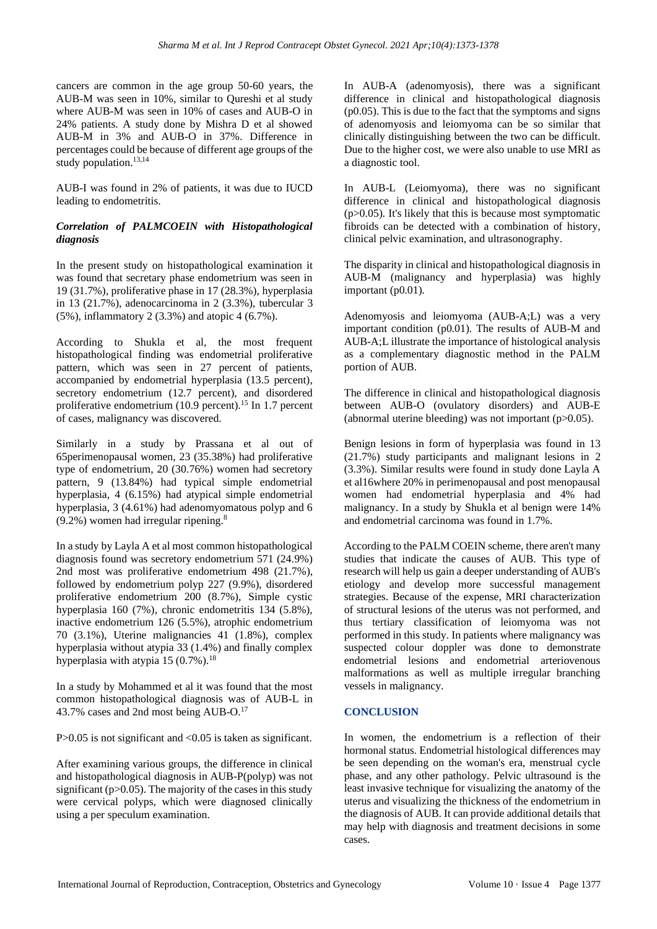cancers are common in the age group 50-60 years, the AUB-M was seen in 10%, similar to Qureshi et al study where AUB-M was seen in 10% of cases and AUB-O in 24% patients. A study done by Mishra D et al showed AUB-M in 3% and AUB-O in 37%. Difference in percentages could be because of different age groups of the study population.<sup>13,14</sup>

AUB-I was found in 2% of patients, it was due to IUCD leading to endometritis.

## *Correlation of PALMCOEIN with Histopathological diagnosis*

In the present study on histopathological examination it was found that secretary phase endometrium was seen in 19 (31.7%), proliferative phase in 17 (28.3%), hyperplasia in 13 (21.7%), adenocarcinoma in 2 (3.3%), tubercular 3 (5%), inflammatory 2 (3.3%) and atopic 4 (6.7%).

According to Shukla et al, the most frequent histopathological finding was endometrial proliferative pattern, which was seen in 27 percent of patients, accompanied by endometrial hyperplasia (13.5 percent), secretory endometrium (12.7 percent), and disordered proliferative endometrium  $(10.9 \text{ percent.}^{15} \text{ In } 1.7 \text{ percent.}$ of cases, malignancy was discovered.

Similarly in a study by Prassana et al out of 65perimenopausal women, 23 (35.38%) had proliferative type of endometrium, 20 (30.76%) women had secretory pattern, 9 (13.84%) had typical simple endometrial hyperplasia, 4 (6.15%) had atypical simple endometrial hyperplasia, 3 (4.61%) had adenomyomatous polyp and 6 (9.2%) women had irregular ripening.<sup>8</sup>

In a study by Layla A et al most common histopathological diagnosis found was secretory endometrium 571 (24.9%) 2nd most was proliferative endometrium 498 (21.7%), followed by endometrium polyp 227 (9.9%), disordered proliferative endometrium 200 (8.7%), Simple cystic hyperplasia 160 (7%), chronic endometritis 134 (5.8%), inactive endometrium 126 (5.5%), atrophic endometrium 70 (3.1%), Uterine malignancies 41 (1.8%), complex hyperplasia without atypia 33 (1.4%) and finally complex hyperplasia with atypia  $15(0.7\%)$ .<sup>18</sup>

In a study by Mohammed et al it was found that the most common histopathological diagnosis was of AUB-L in 43.7% cases and 2nd most being AUB-O.<sup>17</sup>

P>0.05 is not significant and <0.05 is taken as significant.

After examining various groups, the difference in clinical and histopathological diagnosis in AUB-P(polyp) was not significant  $(p>0.05)$ . The majority of the cases in this study were cervical polyps, which were diagnosed clinically using a per speculum examination.

In AUB-A (adenomyosis), there was a significant difference in clinical and histopathological diagnosis (p0.05). This is due to the fact that the symptoms and signs of adenomyosis and leiomyoma can be so similar that clinically distinguishing between the two can be difficult. Due to the higher cost, we were also unable to use MRI as a diagnostic tool.

In AUB-L (Leiomyoma), there was no significant difference in clinical and histopathological diagnosis  $(p>0.05)$ . It's likely that this is because most symptomatic fibroids can be detected with a combination of history, clinical pelvic examination, and ultrasonography.

The disparity in clinical and histopathological diagnosis in AUB-M (malignancy and hyperplasia) was highly important (p0.01).

Adenomyosis and leiomyoma (AUB-A;L) was a very important condition (p0.01). The results of AUB-M and AUB-A;L illustrate the importance of histological analysis as a complementary diagnostic method in the PALM portion of AUB.

The difference in clinical and histopathological diagnosis between AUB-O (ovulatory disorders) and AUB-E (abnormal uterine bleeding) was not important  $(p>0.05)$ .

Benign lesions in form of hyperplasia was found in 13 (21.7%) study participants and malignant lesions in 2 (3.3%). Similar results were found in study done Layla A et al16where 20% in perimenopausal and post menopausal women had endometrial hyperplasia and 4% had malignancy. In a study by Shukla et al benign were 14% and endometrial carcinoma was found in 1.7%.

According to the PALM COEIN scheme, there aren't many studies that indicate the causes of AUB. This type of research will help us gain a deeper understanding of AUB's etiology and develop more successful management strategies. Because of the expense, MRI characterization of structural lesions of the uterus was not performed, and thus tertiary classification of leiomyoma was not performed in this study. In patients where malignancy was suspected colour doppler was done to demonstrate endometrial lesions and endometrial arteriovenous malformations as well as multiple irregular branching vessels in malignancy.

## **CONCLUSION**

In women, the endometrium is a reflection of their hormonal status. Endometrial histological differences may be seen depending on the woman's era, menstrual cycle phase, and any other pathology. Pelvic ultrasound is the least invasive technique for visualizing the anatomy of the uterus and visualizing the thickness of the endometrium in the diagnosis of AUB. It can provide additional details that may help with diagnosis and treatment decisions in some cases.